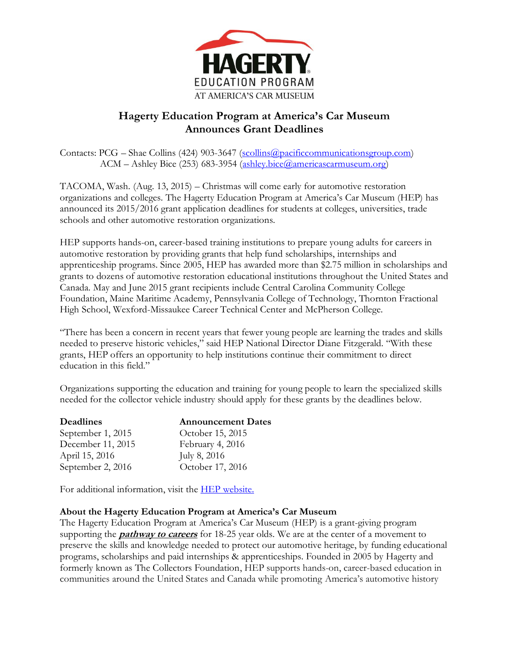

## **Hagerty Education Program at America's Car Museum Announces Grant Deadlines**

Contacts: PCG – Shae Collins (424) 903-3647 [\(scollins@pacificcommunicationsgroup.com\)](mailto:scollins@pacificcommunicationsgroup.com) ACM – Ashley Bice (253) 683-3954 [\(ashley.bice@americascarmuseum.org\)](mailto:Ashley.bice@americascarmuseum.org)

TACOMA, Wash. (Aug. 13, 2015) – Christmas will come early for automotive restoration organizations and colleges. The Hagerty Education Program at America's Car Museum (HEP) has announced its 2015/2016 grant application deadlines for students at colleges, universities, trade schools and other automotive restoration organizations.

HEP supports hands-on, career-based training institutions to prepare young adults for careers in automotive restoration by providing grants that help fund scholarships, internships and apprenticeship programs. Since 2005, HEP has awarded more than \$2.75 million in scholarships and grants to dozens of automotive restoration educational institutions throughout the United States and Canada. May and June 2015 grant recipients include Central Carolina Community College Foundation, Maine Maritime Academy, Pennsylvania College of Technology, Thornton Fractional High School, Wexford-Missaukee Career Technical Center and McPherson College.

"There has been a concern in recent years that fewer young people are learning the trades and skills needed to preserve historic vehicles," said HEP National Director Diane Fitzgerald. "With these grants, HEP offers an opportunity to help institutions continue their commitment to direct education in this field."

Organizations supporting the education and training for young people to learn the specialized skills needed for the collector vehicle industry should apply for these grants by the deadlines below.

| <b>Announcement Dates</b> |
|---------------------------|
| October 15, 2015          |
| February 4, 2016          |
| July 8, 2016              |
| October 17, 2016          |
|                           |

For additional information, visit the **HEP** website.

## **About the Hagerty Education Program at America's Car Museum**

The Hagerty Education Program at America's Car Museum (HEP) is a grant-giving program supporting the **pathway to careers** for 18-25 year olds. We are at the center of a movement to preserve the skills and knowledge needed to protect our automotive heritage, by funding educational programs, scholarships and paid internships & apprenticeships. Founded in 2005 by Hagerty and formerly known as The Collectors Foundation, HEP supports hands-on, career-based education in communities around the United States and Canada while promoting America's automotive history